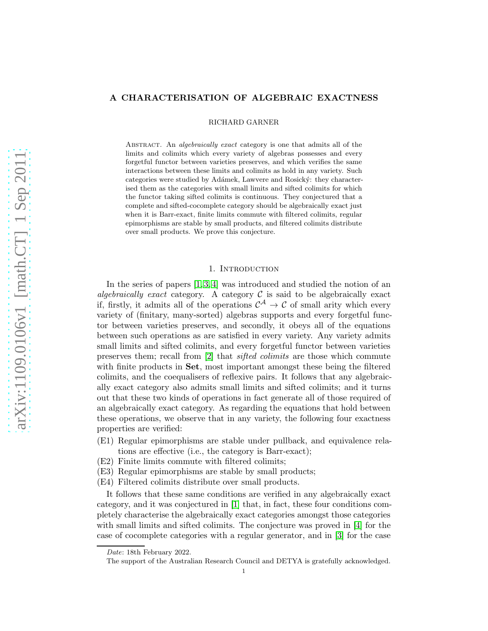# A CHARACTERISATION OF ALGEBRAIC EXACTNESS

RICHARD GARNER

ABSTRACT. An *algebraically exact* category is one that admits all of the limits and colimits which every variety of algebras possesses and every forgetful functor between varieties preserves, and which verifies the same interactions between these limits and colimits as hold in any variety. Such categories were studied by Adámek, Lawvere and Rosický: they characterised them as the categories with small limits and sifted colimits for which the functor taking sifted colimits is continuous. They conjectured that a complete and sifted-cocomplete category should be algebraically exact just when it is Barr-exact, finite limits commute with filtered colimits, regular epimorphisms are stable by small products, and filtered colimits distribute over small products. We prove this conjecture.

# 1. INTRODUCTION

In the series of papers  $[1, 3, 4]$  $[1, 3, 4]$  $[1, 3, 4]$  was introduced and studied the notion of an *algebraically exact* category. A category  $\mathcal C$  is said to be algebraically exact if, firstly, it admits all of the operations  $\mathcal{C}^{\mathcal{A}} \to \mathcal{C}$  of small arity which every variety of (finitary, many-sorted) algebras supports and every forgetful functor between varieties preserves, and secondly, it obeys all of the equations between such operations as are satisfied in every variety. Any variety admits small limits and sifted colimits, and every forgetful functor between varieties preserves them; recall from [\[2\]](#page-7-3) that *sifted colimits* are those which commute with finite products in **Set**, most important amongst these being the filtered colimits, and the coequalisers of reflexive pairs. It follows that any algebraically exact category also admits small limits and sifted colimits; and it turns out that these two kinds of operations in fact generate all of those required of an algebraically exact category. As regarding the equations that hold between these operations, we observe that in any variety, the following four exactness properties are verified:

- (E1) Regular epimorphisms are stable under pullback, and equivalence relations are effective (i.e., the category is Barr-exact);
- (E2) Finite limits commute with filtered colimits;
- (E3) Regular epimorphisms are stable by small products;
- (E4) Filtered colimits distribute over small products.

It follows that these same conditions are verified in any algebraically exact category, and it was conjectured in [\[1\]](#page-7-0) that, in fact, these four conditions completely characterise the algebraically exact categories amongst those categories with small limits and sifted colimits. The conjecture was proved in [\[4\]](#page-7-2) for the case of cocomplete categories with a regular generator, and in [\[3\]](#page-7-1) for the case

Date: 18th February 2022.

The support of the Australian Research Council and DETYA is gratefully acknowledged.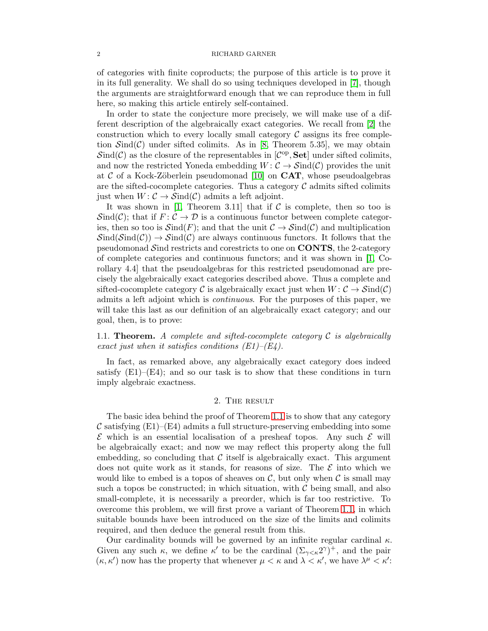of categories with finite coproducts; the purpose of this article is to prove it in its full generality. We shall do so using techniques developed in [\[7\]](#page-7-4), though the arguments are straightforward enough that we can reproduce them in full here, so making this article entirely self-contained.

In order to state the conjecture more precisely, we will make use of a different description of the algebraically exact categories. We recall from [\[2\]](#page-7-3) the construction which to every locally small category  $\mathcal C$  assigns its free completion  $\mathcal{S}\text{ind}(\mathcal{C})$  under sifted colimits. As in [\[8,](#page-7-5) Theorem 5.35], we may obtain  $\mathcal{S}\text{ind}(\mathcal{C})$  as the closure of the representables in  $[\mathcal{C}^{\text{op}}, \mathbf{Set}]$  under sifted colimits, and now the restricted Yoneda embedding  $W: \mathcal{C} \to \mathcal{S}\text{ind}(\mathcal{C})$  provides the unit at C of a Kock-Zöberlein pseudomonad [\[10\]](#page-7-6) on  $CAT$ , whose pseudoalgebras are the sifted-cocomplete categories. Thus a category  $\mathcal C$  admits sifted colimits just when  $W: \mathcal{C} \to \mathcal{S}\text{ind}(\mathcal{C})$  admits a left adjoint.

It was shown in [\[1,](#page-7-0) Theorem 3.11] that if  $C$  is complete, then so too is  $\mathcal{S}ind(\mathcal{C})$ ; that if  $F: \mathcal{C} \to \mathcal{D}$  is a continuous functor between complete categories, then so too is  $\mathcal{S}\text{ind}(F)$ ; and that the unit  $\mathcal{C} \to \mathcal{S}\text{ind}(\mathcal{C})$  and multiplication  $\operatorname{Sind}(\operatorname{Sind}(\mathcal{C})) \to \operatorname{Sind}(\mathcal{C})$  are always continuous functors. It follows that the pseudomonad Sind restricts and corestricts to one on  $\text{CONTS}$ , the 2-category of complete categories and continuous functors; and it was shown in  $[1, Co$ rollary 4.4] that the pseudoalgebras for this restricted pseudomonad are precisely the algebraically exact categories described above. Thus a complete and sifted-cocomplete category C is algebraically exact just when  $W: \mathcal{C} \to \mathcal{S}\text{ind}(\mathcal{C})$ admits a left adjoint which is *continuous*. For the purposes of this paper, we will take this last as our definition of an algebraically exact category; and our goal, then, is to prove:

<span id="page-1-0"></span>1.1. Theorem. *A complete and sifted-cocomplete category* C *is algebraically exact just when it satisfies conditions (E1)–(E4).*

In fact, as remarked above, any algebraically exact category does indeed satisfy  $(E1)$ – $(E4)$ ; and so our task is to show that these conditions in turn imply algebraic exactness.

# 2. The result

The basic idea behind the proof of Theorem [1.1](#page-1-0) is to show that any category  $\mathcal C$  satisfying  $(E1)$ – $(E4)$  admits a full structure-preserving embedding into some  $\mathcal E$  which is an essential localisation of a presheaf topos. Any such  $\mathcal E$  will be algebraically exact; and now we may reflect this property along the full embedding, so concluding that  $\mathcal C$  itself is algebraically exact. This argument does not quite work as it stands, for reasons of size. The  $\mathcal E$  into which we would like to embed is a topos of sheaves on  $\mathcal{C}$ , but only when  $\mathcal{C}$  is small may such a topos be constructed; in which situation, with  $\mathcal C$  being small, and also small-complete, it is necessarily a preorder, which is far too restrictive. To overcome this problem, we will first prove a variant of Theorem [1.1,](#page-1-0) in which suitable bounds have been introduced on the size of the limits and colimits required, and then deduce the general result from this.

Our cardinality bounds will be governed by an infinite regular cardinal  $\kappa$ . Given any such  $\kappa$ , we define  $\kappa'$  to be the cardinal  $(\Sigma_{\gamma<\kappa}2^{\gamma})^+$ , and the pair  $(\kappa, \kappa')$  now has the property that whenever  $\mu < \kappa$  and  $\lambda < \kappa'$ , we have  $\lambda^{\mu} < \kappa'$ .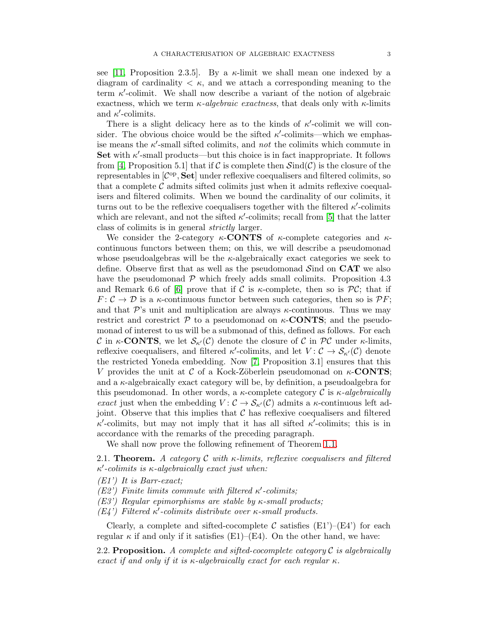see [\[11,](#page-7-7) Proposition 2.3.5]. By a  $\kappa$ -limit we shall mean one indexed by a diagram of cardinality  $\lt \kappa$ , and we attach a corresponding meaning to the term  $\kappa'$ -colimit. We shall now describe a variant of the notion of algebraic exactness, which we term  $\kappa$ -algebraic exactness, that deals only with  $\kappa$ -limits and  $\kappa'$ -colimits.

There is a slight delicacy here as to the kinds of  $\kappa'$ -colimit we will consider. The obvious choice would be the sifted  $\kappa'$ -colimits—which we emphasise means the  $\kappa'$ -small sifted colimits, and *not* the colimits which commute in Set with  $\kappa'$ -small products—but this choice is in fact inappropriate. It follows from [\[4,](#page-7-2) Proposition 5.1] that if C is complete then  $\text{Sind}(\mathcal{C})$  is the closure of the representables in  $[\mathcal{C}^{op}, \mathbf{Set}]$  under reflexive coequalisers and filtered colimits, so that a complete  $\mathcal C$  admits sifted colimits just when it admits reflexive coequalisers and filtered colimits. When we bound the cardinality of our colimits, it turns out to be the reflexive coequalisers together with the filtered  $\kappa'$ -colimits which are relevant, and not the sifted  $\kappa'$ -colimits; recall from [\[5\]](#page-7-8) that the latter class of colimits is in general *strictly* larger.

We consider the 2-category  $\kappa$ -**CONTS** of  $\kappa$ -complete categories and  $\kappa$ continuous functors between them; on this, we will describe a pseudomonad whose pseudoalgebras will be the  $\kappa$ -algebraically exact categories we seek to define. Observe first that as well as the pseudomonad Sind on CAT we also have the pseudomonad  $\mathcal P$  which freely adds small colimits. Proposition 4.3 and Remark 6.6 of [\[6\]](#page-7-9) prove that if C is  $\kappa$ -complete, then so is  $\mathcal{PC}$ ; that if  $F: \mathcal{C} \to \mathcal{D}$  is a  $\kappa$ -continuous functor between such categories, then so is  $\mathcal{P}F$ ; and that  $\mathcal{P}$ 's unit and multiplication are always  $\kappa$ -continuous. Thus we may restrict and corestrict  $P$  to a pseudomonad on  $\kappa$ -**CONTS**; and the pseudomonad of interest to us will be a submonad of this, defined as follows. For each C in  $\kappa$ -**CONTS**, we let  $\mathcal{S}_{\kappa'}(\mathcal{C})$  denote the closure of C in PC under  $\kappa$ -limits, reflexive coequalisers, and filtered  $\kappa'$ -colimits, and let  $V: \mathcal{C} \to \mathcal{S}_{\kappa'}(\mathcal{C})$  denote the restricted Yoneda embedding. Now [\[7,](#page-7-4) Proposition 3.1] ensures that this V provides the unit at C of a Kock-Zöberlein pseudomonad on  $\kappa$ -CONTS; and a  $\kappa$ -algebraically exact category will be, by definition, a pseudoalgebra for this pseudomonad. In other words, a  $\kappa$ -complete category C is  $\kappa$ -*algebraically exact* just when the embedding  $V: \mathcal{C} \to \mathcal{S}_{\kappa'}(\mathcal{C})$  admits a  $\kappa$ -continuous left adjoint. Observe that this implies that  $\mathcal C$  has reflexive coequalisers and filtered  $\kappa'$ -colimits, but may not imply that it has all sifted  $\kappa'$ -colimits; this is in accordance with the remarks of the preceding paragraph.

We shall now prove the following refinement of Theorem [1.1.](#page-1-0)

<span id="page-2-0"></span>2.1. Theorem. *A category* C *with* κ*-limits, reflexive coequalisers and filtered* κ ′ *-colimits is* κ*-algebraically exact just when:*

- *(E1') It is Barr-exact;*
- *(E2') Finite limits commute with filtered* κ ′ *-colimits;*
- *(E3') Regular epimorphisms are stable by* κ*-small products;*
- *(E4') Filtered* κ ′ *-colimits distribute over* κ*-small products.*

Clearly, a complete and sifted-cocomplete C satisfies  $(E1')$ – $(E4')$  for each regular  $\kappa$  if and only if it satisfies (E1)–(E4). On the other hand, we have:

<span id="page-2-1"></span>2.2. Proposition. *A complete and sifted-cocomplete category* C *is algebraically exact if and only if it is* κ*-algebraically exact for each regular* κ*.*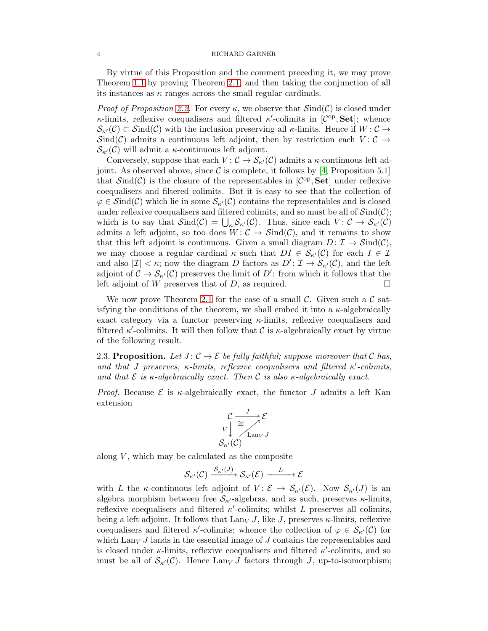By virtue of this Proposition and the comment preceding it, we may prove Theorem [1.1](#page-1-0) by proving Theorem [2.1,](#page-2-0) and then taking the conjunction of all its instances as  $\kappa$  ranges across the small regular cardinals.

*Proof of Proposition [2.2.](#page-2-1)* For every  $\kappa$ , we observe that  $\mathcal{Sind}(\mathcal{C})$  is closed under  $\kappa$ -limits, reflexive coequalisers and filtered  $\kappa'$ -colimits in  $[\mathcal{C}^{\mathrm{op}}, \mathbf{Set}]$ ; whence  $\mathcal{S}_{\kappa'}(\mathcal{C}) \subset \mathcal{S}ind(\mathcal{C})$  with the inclusion preserving all  $\kappa$ -limits. Hence if  $W: \mathcal{C} \to$ Sind(C) admits a continuous left adjoint, then by restriction each  $V: \mathcal{C} \rightarrow$  $\mathcal{S}_{\kappa'}(\mathcal{C})$  will admit a  $\kappa$ -continuous left adjoint.

Conversely, suppose that each  $V: \mathcal{C} \to \mathcal{S}_{\kappa'}(\mathcal{C})$  admits a  $\kappa$ -continuous left adjoint. As observed above, since  $\mathcal C$  is complete, it follows by [\[4,](#page-7-2) Proposition 5.1] that  $\mathcal{S}\text{ind}(\mathcal{C})$  is the closure of the representables in  $[\mathcal{C}^{\text{op}}, \mathbf{Set}]$  under reflexive coequalisers and filtered colimits. But it is easy to see that the collection of  $\varphi \in \mathcal{S}ind(\mathcal{C})$  which lie in some  $\mathcal{S}_{\kappa'}(\mathcal{C})$  contains the representables and is closed under reflexive coequalisers and filtered colimits, and so must be all of  $\mathcal{S}\text{ind}(\mathcal{C})$ ; which is to say that  $\mathcal{S}\text{ind}(\mathcal{C}) = \bigcup_{\kappa} \mathcal{S}_{\kappa'}(\mathcal{C})$ . Thus, since each  $V: \mathcal{C} \to \mathcal{S}_{\kappa'}(\mathcal{C})$ admits a left adjoint, so too does  $W: \mathcal{C} \to \mathcal{S}\text{ind}(\mathcal{C})$ , and it remains to show that this left adjoint is continuous. Given a small diagram  $D: \mathcal{I} \to \mathcal{S}\text{ind}(\mathcal{C}),$ we may choose a regular cardinal  $\kappa$  such that  $DI \in \mathcal{S}_{\kappa'}(\mathcal{C})$  for each  $I \in \mathcal{I}$ and also  $|\mathcal{I}| < \kappa$ ; now the diagram D factors as  $D' : \mathcal{I} \to \mathcal{S}_{\kappa'}(\mathcal{C})$ , and the left adjoint of  $\mathcal{C} \to \mathcal{S}_{\kappa'}(\mathcal{C})$  preserves the limit of D': from which it follows that the left adjoint of W preserves that of D, as required.  $\square$ 

We now prove Theorem [2.1](#page-2-0) for the case of a small  $\mathcal{C}$ . Given such a  $\mathcal{C}$  satisfying the conditions of the theorem, we shall embed it into a  $\kappa$ -algebraically exact category via a functor preserving  $\kappa$ -limits, reflexive coequalisers and filtered  $\kappa'$ -colimits. It will then follow that C is  $\kappa$ -algebraically exact by virtue of the following result.

2.3. Proposition. Let  $J: \mathcal{C} \to \mathcal{E}$  be fully faithful; suppose moreover that  $\mathcal{C}$  has, *and that* J *preserves,* κ*-limits, reflexive coequalisers and filtered* κ ′ *-colimits, and that* E *is* κ*-algebraically exact. Then* C *is also* κ*-algebraically exact.*

*Proof.* Because  $\mathcal{E}$  is  $\kappa$ -algebraically exact, the functor J admits a left Kan extension

$$
\mathcal{C} \xrightarrow[V]{} \cong \searrow{\mathcal{E}}
$$
\n
$$
V \downarrow \cong \searrow{\mathcal{E}}
$$
\n
$$
\mathcal{S}_{\kappa'}(\mathcal{C})
$$

along  $V$ , which may be calculated as the composite

$$
\mathcal{S}_{\kappa'}(\mathcal{C}) \xrightarrow{\mathcal{S}_{\kappa'}(J)} \mathcal{S}_{\kappa'}(\mathcal{E}) \xrightarrow{L} \mathcal{E}
$$

with L the  $\kappa$ -continuous left adjoint of  $V : \mathcal{E} \to \mathcal{S}_{\kappa'}(\mathcal{E})$ . Now  $\mathcal{S}_{\kappa'}(J)$  is an algebra morphism between free  $S_{\kappa'}$ -algebras, and as such, preserves  $\kappa$ -limits, reflexive coequalisers and filtered  $\kappa'$ -colimits; whilst L preserves all colimits, being a left adjoint. It follows that  $\text{Lan}_V J$ , like J, preserves  $\kappa$ -limits, reflexive coequalisers and filtered  $\kappa'$ -colimits; whence the collection of  $\varphi \in \mathcal{S}_{\kappa'}(\mathcal{C})$  for which  $\text{Lan}_V J$  lands in the essential image of J contains the representables and is closed under  $\kappa$ -limits, reflexive coequalisers and filtered  $\kappa'$ -colimits, and so must be all of  $S_{\kappa'}(\mathcal{C})$ . Hence  $\text{Lan}_V J$  factors through J, up-to-isomorphism;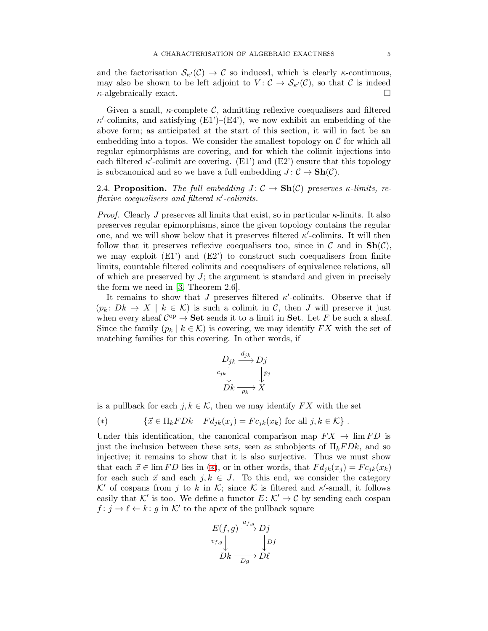and the factorisation  $\mathcal{S}_{\kappa'}(\mathcal{C}) \to \mathcal{C}$  so induced, which is clearly  $\kappa$ -continuous, may also be shown to be left adjoint to  $V: \mathcal{C} \to \mathcal{S}_{\kappa'}(\mathcal{C})$ , so that  $\mathcal{C}$  is indeed  $\kappa$ -algebraically exact.

Given a small,  $\kappa$ -complete C, admitting reflexive coequalisers and filtered  $\kappa'$ -colimits, and satisfying (E1')–(E4'), we now exhibit an embedding of the above form; as anticipated at the start of this section, it will in fact be an embedding into a topos. We consider the smallest topology on  $\mathcal C$  for which all regular epimorphisms are covering, and for which the colimit injections into each filtered  $\kappa'$ -colimit are covering. (E1') and (E2') ensure that this topology is subcanonical and so we have a full embedding  $J: \mathcal{C} \to \mathbf{Sh}(\mathcal{C})$ .

2.4. Proposition. *The full embedding*  $J: \mathcal{C} \to \mathbf{Sh}(\mathcal{C})$  preserves  $\kappa$ -limits, re*flexive coequalisers and filtered* κ ′ *-colimits.*

*Proof.* Clearly J preserves all limits that exist, so in particular  $\kappa$ -limits. It also preserves regular epimorphisms, since the given topology contains the regular one, and we will show below that it preserves filtered  $\kappa'$ -colimits. It will then follow that it preserves reflexive coequalisers too, since in  $\mathcal C$  and in  $\text{Sh}(\mathcal C)$ , we may exploit  $(E1')$  and  $(E2')$  to construct such coequalisers from finite limits, countable filtered colimits and coequalisers of equivalence relations, all of which are preserved by  $J$ ; the argument is standard and given in precisely the form we need in [\[3,](#page-7-1) Theorem 2.6].

It remains to show that  $J$  preserves filtered  $\kappa'$ -colimits. Observe that if  $(p_k: Dk \to X \mid k \in \mathcal{K})$  is such a colimit in C, then J will preserve it just when every sheaf  $\mathcal{C}^{\text{op}} \to \mathbf{Set}$  sends it to a limit in **Set**. Let F be such a sheaf. Since the family  $(p_k | k \in \mathcal{K})$  is covering, we may identify  $FX$  with the set of matching families for this covering. In other words, if

$$
D_{jk} \xrightarrow{d_{jk}} D_j
$$
  

$$
c_{jk} \downarrow \qquad \qquad p_j
$$
  

$$
Dk \xrightarrow{p_k} X
$$

is a pullback for each  $j, k \in \mathcal{K}$ , then we may identify  $FX$  with the set

<span id="page-4-0"></span>
$$
(*) \qquad \{ \vec{x} \in \Pi_k FDk \mid Fd_{jk}(x_j) = Fc_{jk}(x_k) \text{ for all } j, k \in \mathcal{K} \} .
$$

Under this identification, the canonical comparison map  $FX \rightarrow \lim FD$  is just the inclusion between these sets, seen as subobjects of  $\Pi_k F D k$ , and so injective; it remains to show that it is also surjective. Thus we must show that each  $\vec{x} \in \lim FD$  lies in  $(*)$ , or in other words, that  $Fd_{jk}(x_j) = Fc_{jk}(x_k)$ for each such  $\vec{x}$  and each  $j, k \in J$ . To this end, we consider the category  $\mathcal{K}'$  of cospans from j to k in  $\mathcal{K}$ ; since  $\mathcal K$  is filtered and  $\kappa'$ -small, it follows easily that K' is too. We define a functor  $E: \mathcal{K}' \to \mathcal{C}$  by sending each cospan  $f: j \to \ell \leftarrow k$ : g in K' to the apex of the pullback square

$$
E(f,g) \xrightarrow{u_{f,g}} Dj
$$
  
\n $v_{f,g} \downarrow \qquad \qquad \downarrow Df$   
\n $Dk \xrightarrow{Dg} D\ell$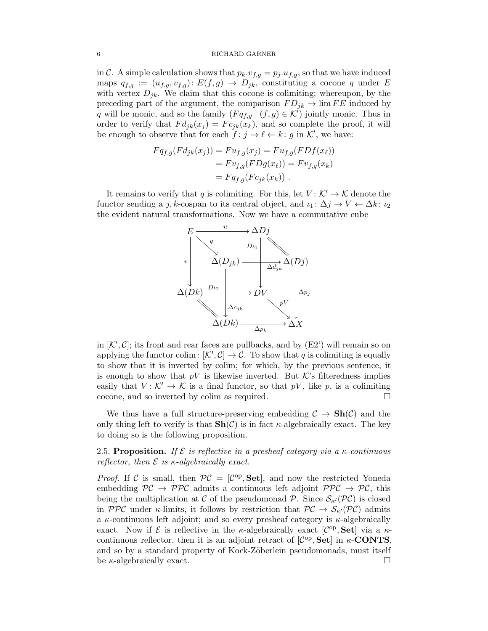in C. A simple calculation shows that  $p_k \tcdot v_{f,g} = p_j \tcdot u_{f,g}$ , so that we have induced maps  $q_{f,g} := (u_{f,g}, v_{f,g}) \colon E(f,g) \to D_{jk}$ , constituting a cocone q under E with vertex  $D_{jk}$ . We claim that this cocone is colimiting; whereupon, by the preceding part of the argument, the comparison  $FD_{ik} \rightarrow \lim FE$  induced by q will be monic, and so the family  $(Fq_{f,g} | (f,g) \in \mathcal{K}')$  jointly monic. Thus in order to verify that  $Fd_{jk}(x_j) = Fc_{jk}(x_k)$ , and so complete the proof, it will be enough to observe that for each  $f: j \to \ell \leftarrow k$ : g in K', we have:

$$
Fq_{f,g}(Fd_{jk}(x_j)) = Fu_{f,g}(x_j) = Fu_{f,g}(FDf(x_\ell))
$$
  
=  $Fv_{f,g}(FDg(x_\ell)) = Fv_{f,g}(x_k)$   
=  $Fq_{f,g}(Fc_{jk}(x_k))$ .

It remains to verify that q is colimiting. For this, let  $V: \mathcal{K}' \to \mathcal{K}$  denote the functor sending a j, k-cospan to its central object, and  $\iota_1: \Delta j \to V \leftarrow \Delta k: \iota_2$ the evident natural transformations. Now we have a commutative cube



in  $[\mathcal{K}', \mathcal{C}]$ ; its front and rear faces are pullbacks, and by  $(E2')$  will remain so on applying the functor colim:  $[\mathcal{K}', \mathcal{C}] \to \mathcal{C}$ . To show that q is colimiting is equally to show that it is inverted by colim; for which, by the previous sentence, it is enough to show that  $pV$  is likewise inverted. But K's filteredness implies easily that  $V: \mathcal{K}' \to \mathcal{K}$  is a final functor, so that pV, like p, is a colimiting cocone, and so inverted by colim as required.

We thus have a full structure-preserving embedding  $C \to Sh(\mathcal{C})$  and the only thing left to verify is that  $\text{Sh}(\mathcal{C})$  is in fact  $\kappa$ -algebraically exact. The key to doing so is the following proposition.

2.5. Proposition. *If* E *is reflective in a presheaf category via a* κ*-continuous reflector, then* E *is* κ*-algebraically exact.*

*Proof.* If C is small, then  $\mathcal{PC} = [\mathcal{C}^{op}, \mathbf{Set}]$ , and now the restricted Yoneda embedding  $PC \rightarrow PPC$  admits a continuous left adjoint  $PPC \rightarrow PC$ , this being the multiplication at C of the pseudomonad P. Since  $\mathcal{S}_{\kappa'}(\mathcal{PC})$  is closed in PPC under  $\kappa$ -limits, it follows by restriction that  $\mathcal{PC} \to \mathcal{S}_{\kappa'}(\mathcal{PC})$  admits a  $\kappa$ -continuous left adjoint; and so every presheaf category is  $\kappa$ -algebraically exact. Now if  $\mathcal E$  is reflective in the  $\kappa$ -algebraically exact  $[\mathcal C^{op}, \mathbf{Set}]$  via a  $\kappa$ continuous reflector, then it is an adjoint retract of  $[\mathcal{C}^{op}, \mathbf{Set}]$  in  $\kappa$ -**CONTS**, and so by a standard property of Kock-Zöberlein pseudomonads, must itself be  $\kappa$ -algebraically exact.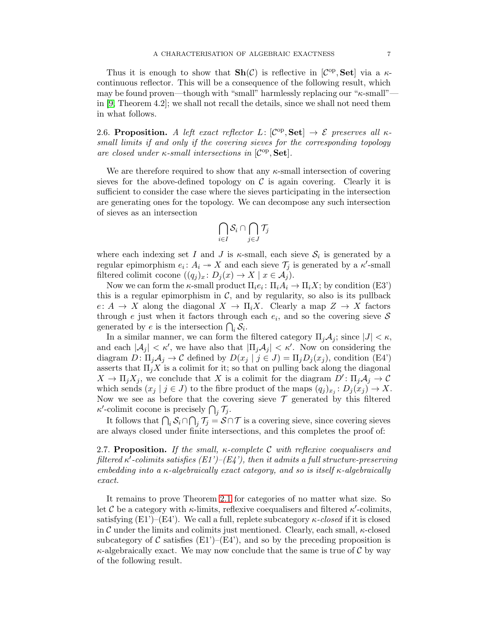Thus it is enough to show that  $\mathbf{Sh}(\mathcal{C})$  is reflective in  $[\mathcal{C}^{\mathrm{op}}, \mathbf{Set}]$  via a  $\kappa$ continuous reflector. This will be a consequence of the following result, which may be found proven—though with "small" harmlessly replacing our " $\kappa$ -small"in [\[9,](#page-7-10) Theorem 4.2]; we shall not recall the details, since we shall not need them in what follows.

2.6. Proposition. *A left exact reflector*  $L: [\mathcal{C}^{\mathrm{op}}, \mathbf{Set}] \to \mathcal{E}$  preserves all  $\kappa$ *small limits if and only if the covering sieves for the corresponding topology are closed under κ*-small intersections in [ $C$ <sup>op</sup>, **Set**].

We are therefore required to show that any  $\kappa$ -small intersection of covering sieves for the above-defined topology on  $\mathcal C$  is again covering. Clearly it is sufficient to consider the case where the sieves participating in the intersection are generating ones for the topology. We can decompose any such intersection of sieves as an intersection

$$
\bigcap_{i\in I}\mathcal{S}_i\cap \bigcap_{j\in J}\mathcal{T}_j
$$

where each indexing set I and J is  $\kappa$ -small, each sieve  $\mathcal{S}_i$  is generated by a regular epimorphism  $e_i: A_i \to X$  and each sieve  $\mathcal{T}_j$  is generated by a  $\kappa'$ -small filtered colimit cocone  $((q_j)_x: D_j(x) \to X \mid x \in A_j)$ .

Now we can form the  $\kappa$ -small product  $\Pi_i e_i \colon \Pi_i A_i \to \Pi_i X$ ; by condition (E3') this is a regular epimorphism in  $\mathcal{C}$ , and by regularity, so also is its pullback  $e: A \to X$  along the diagonal  $X \to \Pi_i X$ . Clearly a map  $Z \to X$  factors through e just when it factors through each  $e_i$ , and so the covering sieve  $S$ generated by e is the intersection  $\bigcap_i \mathcal{S}_i$ .

In a similar manner, we can form the filtered category  $\Pi_i \mathcal{A}_i$ ; since  $|J| < \kappa$ , and each  $|\mathcal{A}_j| < \kappa'$ , we have also that  $|\Pi_j \mathcal{A}_j| < \kappa'$ . Now on considering the diagram  $D: \Pi_j \mathcal{A}_j \to \mathcal{C}$  defined by  $D(x_j | j \in J) = \Pi_j D_j(x_j)$ , condition (E4') asserts that  $\Pi_i X$  is a colimit for it; so that on pulling back along the diagonal  $X \to \Pi_j X_j$ , we conclude that X is a colimit for the diagram  $D' : \Pi_j \mathcal{A}_j \to \mathcal{C}$ which sends  $(x_j | j \in J)$  to the fibre product of the maps  $(q_j)_{x_j} : D_j(x_j) \to X$ . Now we see as before that the covering sieve  $\mathcal T$  generated by this filtered  $\kappa'$ -colimit cocone is precisely  $\bigcap_j \mathcal{T}_j$ .

It follows that  $\bigcap_i \mathcal{S}_i \cap \bigcap_j \mathcal{T}_j = \mathcal{S} \cap \mathcal{T}$  is a covering sieve, since covering sieves are always closed under finite intersections, and this completes the proof of:

2.7. Proposition. *If the small,* κ*-complete* C *with reflexive coequalisers and*  ${\it filtered\ }\kappa^I\text{-}colimits\ satisfies\ (E1')–(E4'),\ then\ it\ admits\ a\ full\ structure-preserving}$ *embedding into a* κ*-algebraically exact category, and so is itself* κ*-algebraically exact.*

It remains to prove Theorem [2.1](#page-2-0) for categories of no matter what size. So let C be a category with  $\kappa$ -limits, reflexive coequalisers and filtered  $\kappa'$ -colimits, satisfying  $(E1')-(E4')$ . We call a full, replete subcategory  $\kappa$ -closed if it is closed in C under the limits and colimits just mentioned. Clearly, each small,  $\kappa$ -closed subcategory of C satisfies  $(E1')$ – $(E4')$ , and so by the preceding proposition is  $\kappa$ -algebraically exact. We may now conclude that the same is true of C by way of the following result.